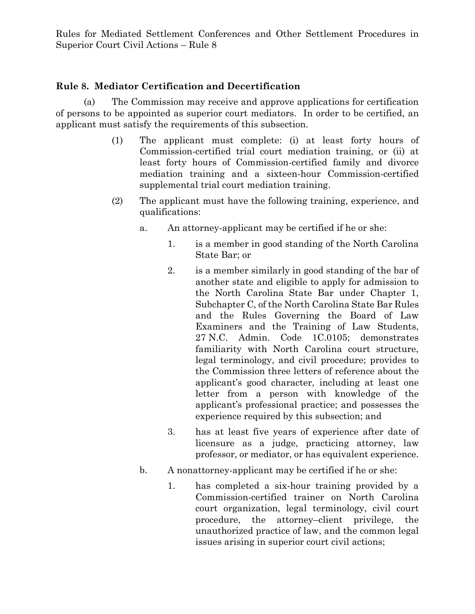## **Rule 8. Mediator Certification and Decertification**

(a) The Commission may receive and approve applications for certification of persons to be appointed as superior court mediators. In order to be certified, an applicant must satisfy the requirements of this subsection.

- (1) The applicant must complete: (i) at least forty hours of Commission-certified trial court mediation training, or (ii) at least forty hours of Commission-certified family and divorce mediation training and a sixteen-hour Commission-certified supplemental trial court mediation training.
- (2) The applicant must have the following training, experience, and qualifications:
	- a. An attorney-applicant may be certified if he or she:
		- 1. is a member in good standing of the North Carolina State Bar; or
		- 2. is a member similarly in good standing of the bar of another state and eligible to apply for admission to the North Carolina State Bar under Chapter 1, Subchapter C, of the North Carolina State Bar Rules and the Rules Governing the Board of Law Examiners and the Training of Law Students, 27 N.C. Admin. Code 1C.0105; demonstrates familiarity with North Carolina court structure, legal terminology, and civil procedure; provides to the Commission three letters of reference about the applicant's good character, including at least one letter from a person with knowledge of the applicant's professional practice; and possesses the experience required by this subsection; and
		- 3. has at least five years of experience after date of licensure as a judge, practicing attorney, law professor, or mediator, or has equivalent experience.
	- b. A nonattorney-applicant may be certified if he or she:
		- 1. has completed a six-hour training provided by a Commission-certified trainer on North Carolina court organization, legal terminology, civil court procedure, the attorney–client privilege, the unauthorized practice of law, and the common legal issues arising in superior court civil actions;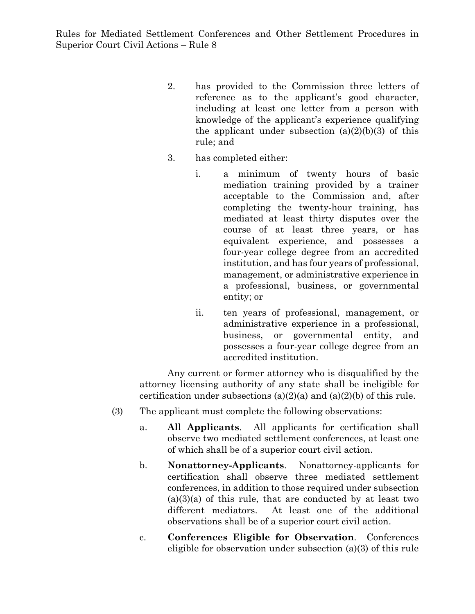- 2. has provided to the Commission three letters of reference as to the applicant's good character, including at least one letter from a person with knowledge of the applicant's experience qualifying the applicant under subsection  $(a)(2)(b)(3)$  of this rule; and
- 3. has completed either:
	- i. a minimum of twenty hours of basic mediation training provided by a trainer acceptable to the Commission and, after completing the twenty-hour training, has mediated at least thirty disputes over the course of at least three years, or has equivalent experience, and possesses a four-year college degree from an accredited institution, and has four years of professional, management, or administrative experience in a professional, business, or governmental entity; or
	- ii. ten years of professional, management, or administrative experience in a professional, business, or governmental entity, and possesses a four-year college degree from an accredited institution.

Any current or former attorney who is disqualified by the attorney licensing authority of any state shall be ineligible for certification under subsections  $(a)(2)(a)$  and  $(a)(2)(b)$  of this rule.

- (3) The applicant must complete the following observations:
	- a. **All Applicants**. All applicants for certification shall observe two mediated settlement conferences, at least one of which shall be of a superior court civil action.
	- b. **Nonattorney-Applicants**. Nonattorney-applicants for certification shall observe three mediated settlement conferences, in addition to those required under subsection  $(a)(3)(a)$  of this rule, that are conducted by at least two different mediators. At least one of the additional observations shall be of a superior court civil action.
	- c. **Conferences Eligible for Observation**. Conferences eligible for observation under subsection (a)(3) of this rule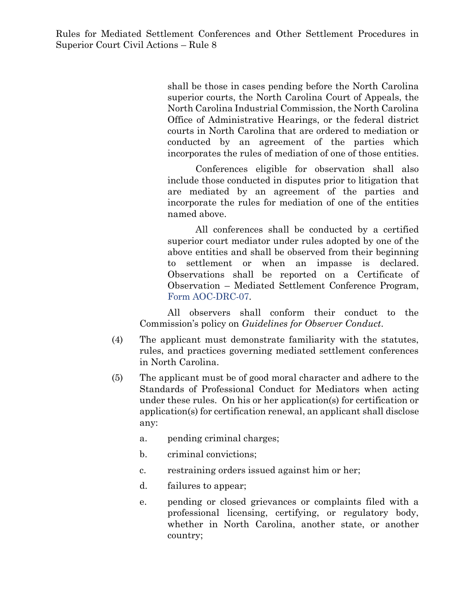shall be those in cases pending before the North Carolina superior courts, the North Carolina Court of Appeals, the North Carolina Industrial Commission, the North Carolina Office of Administrative Hearings, or the federal district courts in North Carolina that are ordered to mediation or conducted by an agreement of the parties which incorporates the rules of mediation of one of those entities.

Conferences eligible for observation shall also include those conducted in disputes prior to litigation that are mediated by an agreement of the parties and incorporate the rules for mediation of one of the entities named above.

All conferences shall be conducted by a certified superior court mediator under rules adopted by one of the above entities and shall be observed from their beginning to settlement or when an impasse is declared. Observations shall be reported on a Certificate of Observation – Mediated Settlement Conference Program, [Form AOC-DRC-07.](https://www.nccourts.gov/documents/forms/certificate-of-observation-mediated-settlement-conference-program)

All observers shall conform their conduct to the Commission's policy on *Guidelines for Observer Conduct*.

- (4) The applicant must demonstrate familiarity with the statutes, rules, and practices governing mediated settlement conferences in North Carolina.
- (5) The applicant must be of good moral character and adhere to the Standards of Professional Conduct for Mediators when acting under these rules. On his or her application(s) for certification or application(s) for certification renewal, an applicant shall disclose any:
	- a. pending criminal charges;
	- b. criminal convictions;
	- c. restraining orders issued against him or her;
	- d. failures to appear;
	- e. pending or closed grievances or complaints filed with a professional licensing, certifying, or regulatory body, whether in North Carolina, another state, or another country;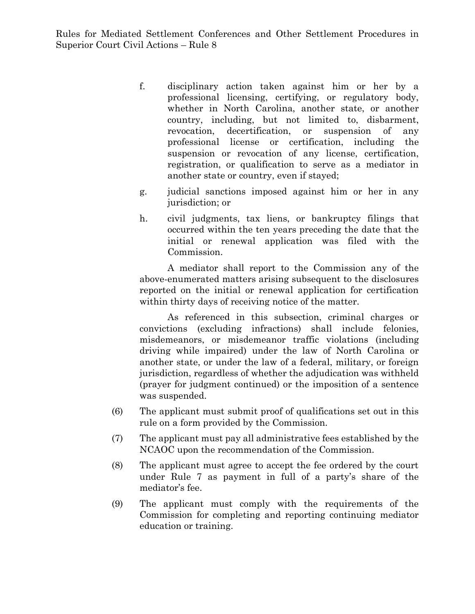- f. disciplinary action taken against him or her by a professional licensing, certifying, or regulatory body, whether in North Carolina, another state, or another country, including, but not limited to, disbarment, revocation, decertification, or suspension of any professional license or certification, including the suspension or revocation of any license, certification, registration, or qualification to serve as a mediator in another state or country, even if stayed;
- g. judicial sanctions imposed against him or her in any jurisdiction; or
- h. civil judgments, tax liens, or bankruptcy filings that occurred within the ten years preceding the date that the initial or renewal application was filed with the Commission.

A mediator shall report to the Commission any of the above-enumerated matters arising subsequent to the disclosures reported on the initial or renewal application for certification within thirty days of receiving notice of the matter.

As referenced in this subsection, criminal charges or convictions (excluding infractions) shall include felonies, misdemeanors, or misdemeanor traffic violations (including driving while impaired) under the law of North Carolina or another state, or under the law of a federal, military, or foreign jurisdiction, regardless of whether the adjudication was withheld (prayer for judgment continued) or the imposition of a sentence was suspended.

- (6) The applicant must submit proof of qualifications set out in this rule on a form provided by the Commission.
- (7) The applicant must pay all administrative fees established by the NCAOC upon the recommendation of the Commission.
- (8) The applicant must agree to accept the fee ordered by the court under Rule 7 as payment in full of a party's share of the mediator's fee.
- (9) The applicant must comply with the requirements of the Commission for completing and reporting continuing mediator education or training.